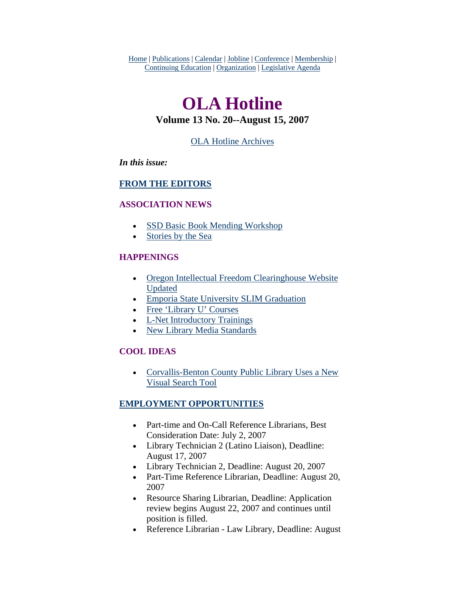<span id="page-0-0"></span>Home | Publications | Calendar | Jobline | Conference | Membership | Continuing Education | Organization | Legislative Agenda

# **OLA Hotline**

# **Volume 13 No. 20--August 15, 2007**

# [OLA Hotline Archives](http://olaweb.org/hotline/index.shtml)

### *In this issue:*

### **[FROM THE EDITORS](#page-1-0)**

#### **ASSOCIATION NEWS**

- [SSD Basic Book Mending Workshop](#page-1-0)
- [Stories by the Sea](#page-2-0)

### **HAPPENINGS**

- Oregon Intellectual Freedom Clearinghouse Website [Updated](#page-3-0)
- [Emporia State University SLIM Graduation](#page-3-0)
- [Free 'Library U' Courses](#page-4-0)
- [L-Net Introductory Trainings](#page-4-0)
- [New Library Media Standards](#page-5-0)

### **COOL IDEAS**

• [Corvallis-Benton County Public Library Uses a New](#page-5-0)  [Visual Search Tool](#page-5-0)

# **EMPLOYMENT OPPORTUNITIES**

- Part-time and On-Call Reference Librarians, Best Consideration Date: July 2, 2007
- Library Technician 2 (Latino Liaison), Deadline: August 17, 2007
- Library Technician 2, Deadline: August 20, 2007
- Part-Time Reference Librarian, Deadline: August 20, 2007
- Resource Sharing Librarian, Deadline: Application review begins August 22, 2007 and continues until position is filled.
- Reference Librarian Law Library, Deadline: August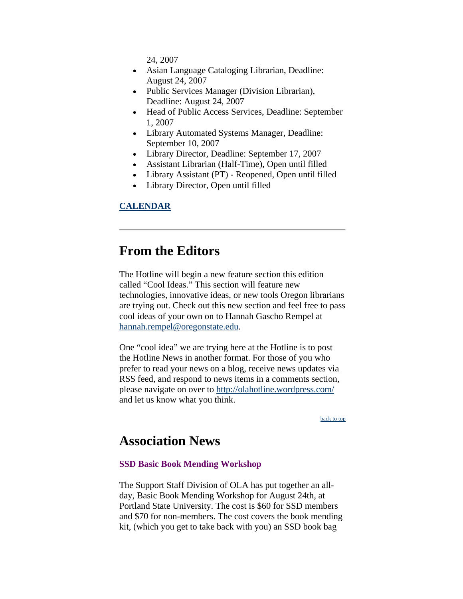24, 2007

- <span id="page-1-0"></span>• Asian Language Cataloging Librarian, Deadline: August 24, 2007
- Public Services Manager (Division Librarian), Deadline: August 24, 2007
- Head of Public Access Services, Deadline: September 1, 2007
- Library Automated Systems Manager, Deadline: September 10, 2007
- Library Director, Deadline: September 17, 2007
- Assistant Librarian (Half-Time), Open until filled
- Library Assistant (PT) Reopened, Open until filled
- Library Director, Open until filled

### **CALENDAR**

# **From the Editors**

The Hotline will begin a new feature section this edition called "Cool Ideas." This section will feature new technologies, innovative ideas, or new tools Oregon librarians are trying out. Check out this new section and feel free to pass cool ideas of your own on to Hannah Gascho Rempel at [hannah.rempel@oregonstate.edu.](mailto:hannah.rempel@oregonstate.edu)

One "cool idea" we are trying here at the Hotline is to post the Hotline News in another format. For those of you who prefer to read your news on a blog, receive news updates via RSS feed, and respond to news items in a comments section, please navigate on over to<http://olahotline.wordpress.com/> and let us know what you think.

[back to top](#page-0-0)

# **Association News**

#### **SSD Basic Book Mending Workshop**

The Support Staff Division of OLA has put together an allday, Basic Book Mending Workshop for August 24th, at Portland State University. The cost is \$60 for SSD members and \$70 for non-members. The cost covers the book mending kit, (which you get to take back with you) an SSD book bag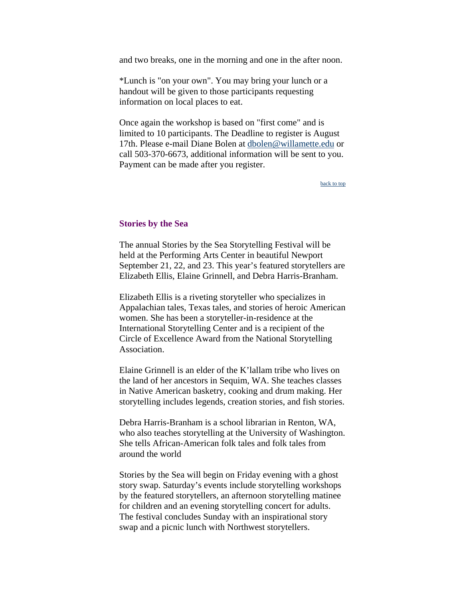<span id="page-2-0"></span>and two breaks, one in the morning and one in the after noon.

\*Lunch is "on your own". You may bring your lunch or a handout will be given to those participants requesting information on local places to eat.

Once again the workshop is based on "first come" and is limited to 10 participants. The Deadline to register is August 17th. Please e-mail Diane Bolen at [dbolen@willamette.edu](mailto:dbolen@willamette.edu) or call 503-370-6673, additional information will be sent to you. Payment can be made after you register.

[back to top](#page-0-0)

#### **Stories by the Sea**

The annual Stories by the Sea Storytelling Festival will be held at the Performing Arts Center in beautiful Newport September 21, 22, and 23. This year's featured storytellers are Elizabeth Ellis, Elaine Grinnell, and Debra Harris-Branham.

Elizabeth Ellis is a riveting storyteller who specializes in Appalachian tales, Texas tales, and stories of heroic American women. She has been a storyteller-in-residence at the International Storytelling Center and is a recipient of the Circle of Excellence Award from the National Storytelling Association.

Elaine Grinnell is an elder of the K'lallam tribe who lives on the land of her ancestors in Sequim, WA. She teaches classes in Native American basketry, cooking and drum making. Her storytelling includes legends, creation stories, and fish stories.

Debra Harris-Branham is a school librarian in Renton, WA, who also teaches storytelling at the University of Washington. She tells African-American folk tales and folk tales from around the world

Stories by the Sea will begin on Friday evening with a ghost story swap. Saturday's events include storytelling workshops by the featured storytellers, an afternoon storytelling matinee for children and an evening storytelling concert for adults. The festival concludes Sunday with an inspirational story swap and a picnic lunch with Northwest storytellers.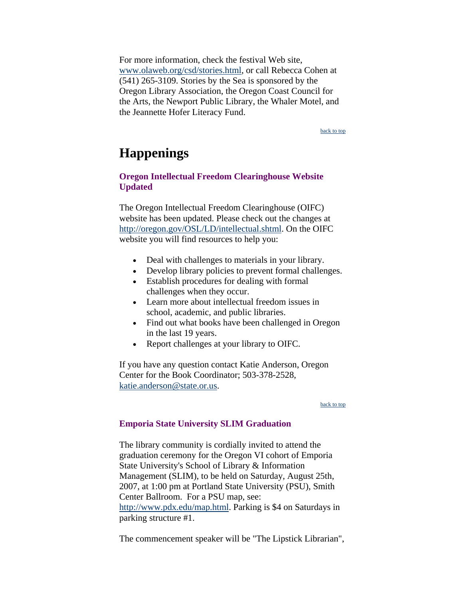<span id="page-3-0"></span>For more information, check the festival Web site, www.olaweb.org/csd/stories.html, or call Rebecca Cohen at (541) 265-3109. Stories by the Sea is sponsored by the Oregon Library Association, the Oregon Coast Council for the Arts, the Newport Public Library, the Whaler Motel, and the Jeannette Hofer Literacy Fund.

[back to top](#page-0-0)

# **Happenings**

# **Oregon Intellectual Freedom Clearinghouse Website Updated**

The Oregon Intellectual Freedom Clearinghouse (OIFC) website has been updated. Please check out the changes at <http://oregon.gov/OSL/LD/intellectual.shtml>. On the OIFC website you will find resources to help you:

- Deal with challenges to materials in your library.
- Develop library policies to prevent formal challenges.
- Establish procedures for dealing with formal challenges when they occur.
- Learn more about intellectual freedom issues in school, academic, and public libraries.
- Find out what books have been challenged in Oregon in the last 19 years.
- Report challenges at your library to OIFC.

If you have any question contact Katie Anderson, Oregon Center for the Book Coordinator; 503-378-2528, [katie.anderson@state.or.us](mailto:katie.anderson@state.or.us).

#### [back to top](#page-0-0)

#### **Emporia State University SLIM Graduation**

The library community is cordially invited to attend the graduation ceremony for the Oregon VI cohort of Emporia State University's School of Library & Information Management (SLIM), to be held on Saturday, August 25th, 2007, at 1:00 pm at Portland State University (PSU), Smith Center Ballroom. For a PSU map, see: [http://www.pdx.edu/map.html.](http://www.pdx.edu/map.html) Parking is \$4 on Saturdays in parking structure #1.

The commencement speaker will be "The Lipstick Librarian",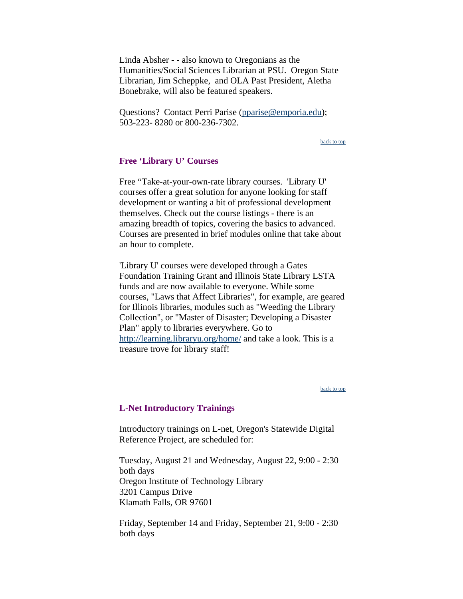<span id="page-4-0"></span>Linda Absher - - also known to Oregonians as the Humanities/Social Sciences Librarian at PSU. Oregon State Librarian, Jim Scheppke, and OLA Past President, Aletha Bonebrake, will also be featured speakers.

Questions? Contact Perri Parise [\(pparise@emporia.edu\)](mailto:pparise@emporia.edu); 503-223- 8280 or 800-236-7302.

[back to top](#page-0-0)

#### **Free 'Library U' Courses**

Free "Take-at-your-own-rate library courses. 'Library U' courses offer a great solution for anyone looking for staff development or wanting a bit of professional development themselves. Check out the course listings - there is an amazing breadth of topics, covering the basics to advanced. Courses are presented in brief modules online that take about an hour to complete.

'Library U' courses were developed through a Gates Foundation Training Grant and Illinois State Library LSTA funds and are now available to everyone. While some courses, "Laws that Affect Libraries", for example, are geared for Illinois libraries, modules such as "Weeding the Library Collection", or "Master of Disaster; Developing a Disaster Plan" apply to libraries everywhere. Go to <http://learning.libraryu.org/home/> and take a look. This is a treasure trove for library staff!

[back to top](#page-0-0)

#### **L-Net Introductory Trainings**

Introductory trainings on L-net, Oregon's Statewide Digital Reference Project, are scheduled for:

Tuesday, August 21 and Wednesday, August 22, 9:00 - 2:30 both days Oregon Institute of Technology Library 3201 Campus Drive Klamath Falls, OR 97601

Friday, September 14 and Friday, September 21, 9:00 - 2:30 both days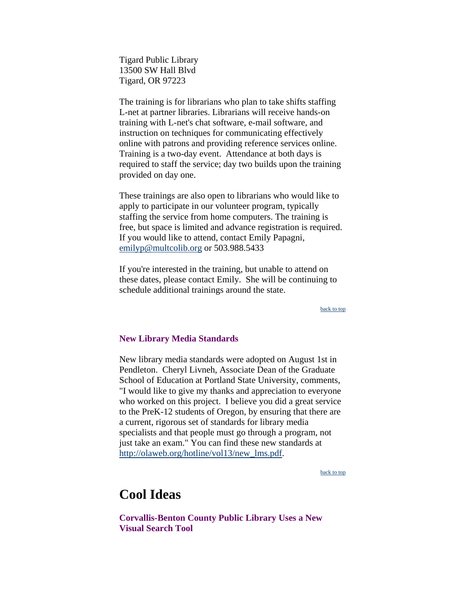<span id="page-5-0"></span>Tigard Public Library 13500 SW Hall Blvd Tigard, OR 97223

The training is for librarians who plan to take shifts staffing L-net at partner libraries. Librarians will receive hands-on training with L-net's chat software, e-mail software, and instruction on techniques for communicating effectively online with patrons and providing reference services online. Training is a two-day event. Attendance at both days is required to staff the service; day two builds upon the training provided on day one.

These trainings are also open to librarians who would like to apply to participate in our volunteer program, typically staffing the service from home computers. The training is free, but space is limited and advance registration is required. If you would like to attend, contact Emily Papagni, [emilyp@multcolib.org](mailto:emilyp@multcolib.org) or 503.988.5433

If you're interested in the training, but unable to attend on these dates, please contact Emily. She will be continuing to schedule additional trainings around the state.

[back to top](#page-0-0)

#### **New Library Media Standards**

New library media standards were adopted on August 1st in Pendleton. Cheryl Livneh, Associate Dean of the Graduate School of Education at Portland State University, comments, "I would like to give my thanks and appreciation to everyone who worked on this project. I believe you did a great service to the PreK-12 students of Oregon, by ensuring that there are a current, rigorous set of standards for library media specialists and that people must go through a program, not just take an exam." You can find these new standards at [http://olaweb.org/hotline/vol13/new\\_lms.pdf](http://olaweb.org/hotline/vol13/new_lms.pdf).

[back to top](#page-0-0)

# **Cool Ideas**

**Corvallis-Benton County Public Library Uses a New Visual Search Tool**